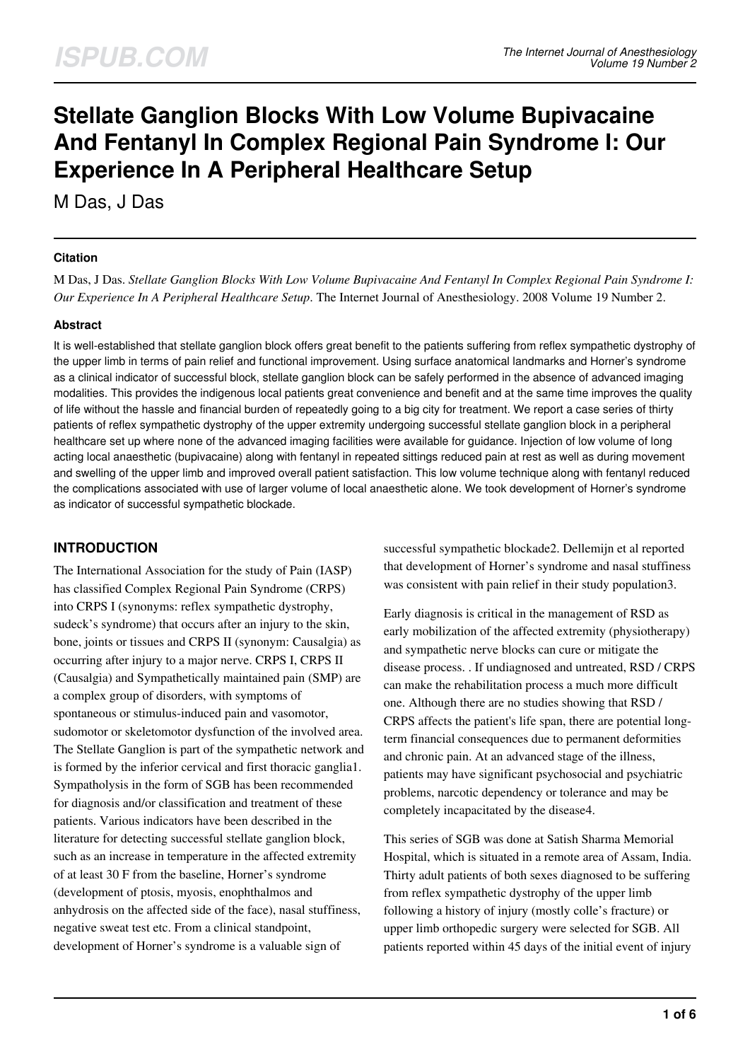# **Stellate Ganglion Blocks With Low Volume Bupivacaine And Fentanyl In Complex Regional Pain Syndrome I: Our Experience In A Peripheral Healthcare Setup**

M Das, J Das

## **Citation**

M Das, J Das. *Stellate Ganglion Blocks With Low Volume Bupivacaine And Fentanyl In Complex Regional Pain Syndrome I: Our Experience In A Peripheral Healthcare Setup*. The Internet Journal of Anesthesiology. 2008 Volume 19 Number 2.

## **Abstract**

It is well-established that stellate ganglion block offers great benefit to the patients suffering from reflex sympathetic dystrophy of the upper limb in terms of pain relief and functional improvement. Using surface anatomical landmarks and Horner's syndrome as a clinical indicator of successful block, stellate ganglion block can be safely performed in the absence of advanced imaging modalities. This provides the indigenous local patients great convenience and benefit and at the same time improves the quality of life without the hassle and financial burden of repeatedly going to a big city for treatment. We report a case series of thirty patients of reflex sympathetic dystrophy of the upper extremity undergoing successful stellate ganglion block in a peripheral healthcare set up where none of the advanced imaging facilities were available for guidance. Injection of low volume of long acting local anaesthetic (bupivacaine) along with fentanyl in repeated sittings reduced pain at rest as well as during movement and swelling of the upper limb and improved overall patient satisfaction. This low volume technique along with fentanyl reduced the complications associated with use of larger volume of local anaesthetic alone. We took development of Horner's syndrome as indicator of successful sympathetic blockade.

# **INTRODUCTION**

The International Association for the study of Pain (IASP) has classified Complex Regional Pain Syndrome (CRPS) into CRPS I (synonyms: reflex sympathetic dystrophy, sudeck's syndrome) that occurs after an injury to the skin, bone, joints or tissues and CRPS II (synonym: Causalgia) as occurring after injury to a major nerve. CRPS I, CRPS II (Causalgia) and Sympathetically maintained pain (SMP) are a complex group of disorders, with symptoms of spontaneous or stimulus-induced pain and vasomotor, sudomotor or skeletomotor dysfunction of the involved area. The Stellate Ganglion is part of the sympathetic network and is formed by the inferior cervical and first thoracic ganglia1. Sympatholysis in the form of SGB has been recommended for diagnosis and/or classification and treatment of these patients. Various indicators have been described in the literature for detecting successful stellate ganglion block, such as an increase in temperature in the affected extremity of at least 30 F from the baseline, Horner's syndrome (development of ptosis, myosis, enophthalmos and anhydrosis on the affected side of the face), nasal stuffiness, negative sweat test etc. From a clinical standpoint, development of Horner's syndrome is a valuable sign of

successful sympathetic blockade2. Dellemijn et al reported that development of Horner's syndrome and nasal stuffiness was consistent with pain relief in their study population3.

Early diagnosis is critical in the management of RSD as early mobilization of the affected extremity (physiotherapy) and sympathetic nerve blocks can cure or mitigate the disease process. . If undiagnosed and untreated, RSD / CRPS can make the rehabilitation process a much more difficult one. Although there are no studies showing that RSD / CRPS affects the patient's life span, there are potential longterm financial consequences due to permanent deformities and chronic pain. At an advanced stage of the illness, patients may have significant psychosocial and psychiatric problems, narcotic dependency or tolerance and may be completely incapacitated by the disease4.

This series of SGB was done at Satish Sharma Memorial Hospital, which is situated in a remote area of Assam, India. Thirty adult patients of both sexes diagnosed to be suffering from reflex sympathetic dystrophy of the upper limb following a history of injury (mostly colle's fracture) or upper limb orthopedic surgery were selected for SGB. All patients reported within 45 days of the initial event of injury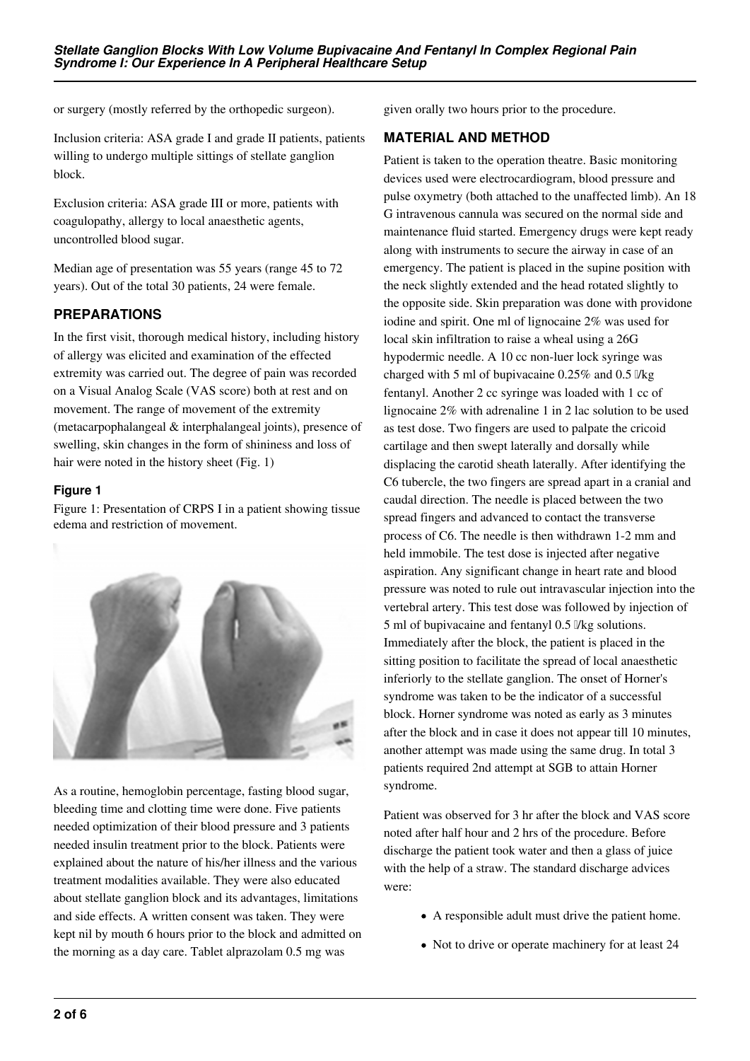or surgery (mostly referred by the orthopedic surgeon).

Inclusion criteria: ASA grade I and grade II patients, patients willing to undergo multiple sittings of stellate ganglion block.

Exclusion criteria: ASA grade III or more, patients with coagulopathy, allergy to local anaesthetic agents, uncontrolled blood sugar.

Median age of presentation was 55 years (range 45 to 72 years). Out of the total 30 patients, 24 were female.

#### **PREPARATIONS**

In the first visit, thorough medical history, including history of allergy was elicited and examination of the effected extremity was carried out. The degree of pain was recorded on a Visual Analog Scale (VAS score) both at rest and on movement. The range of movement of the extremity (metacarpophalangeal & interphalangeal joints), presence of swelling, skin changes in the form of shininess and loss of hair were noted in the history sheet (Fig. 1)

#### **Figure 1**

Figure 1: Presentation of CRPS I in a patient showing tissue edema and restriction of movement.



As a routine, hemoglobin percentage, fasting blood sugar, bleeding time and clotting time were done. Five patients needed optimization of their blood pressure and 3 patients needed insulin treatment prior to the block. Patients were explained about the nature of his/her illness and the various treatment modalities available. They were also educated about stellate ganglion block and its advantages, limitations and side effects. A written consent was taken. They were kept nil by mouth 6 hours prior to the block and admitted on the morning as a day care. Tablet alprazolam 0.5 mg was

given orally two hours prior to the procedure.

#### **MATERIAL AND METHOD**

Patient is taken to the operation theatre. Basic monitoring devices used were electrocardiogram, blood pressure and pulse oxymetry (both attached to the unaffected limb). An 18 G intravenous cannula was secured on the normal side and maintenance fluid started. Emergency drugs were kept ready along with instruments to secure the airway in case of an emergency. The patient is placed in the supine position with the neck slightly extended and the head rotated slightly to the opposite side. Skin preparation was done with providone iodine and spirit. One ml of lignocaine 2% was used for local skin infiltration to raise a wheal using a 26G hypodermic needle. A 10 cc non-luer lock syringe was charged with 5 ml of bupivacaine  $0.25\%$  and  $0.5\%$ fentanyl. Another 2 cc syringe was loaded with 1 cc of lignocaine 2% with adrenaline 1 in 2 lac solution to be used as test dose. Two fingers are used to palpate the cricoid cartilage and then swept laterally and dorsally while displacing the carotid sheath laterally. After identifying the C6 tubercle, the two fingers are spread apart in a cranial and caudal direction. The needle is placed between the two spread fingers and advanced to contact the transverse process of C6. The needle is then withdrawn 1-2 mm and held immobile. The test dose is injected after negative aspiration. Any significant change in heart rate and blood pressure was noted to rule out intravascular injection into the vertebral artery. This test dose was followed by injection of 5 ml of bupivacaine and fentanyl 0.5 μ/kg solutions. Immediately after the block, the patient is placed in the sitting position to facilitate the spread of local anaesthetic inferiorly to the stellate ganglion. The onset of Horner's syndrome was taken to be the indicator of a successful block. Horner syndrome was noted as early as 3 minutes after the block and in case it does not appear till 10 minutes, another attempt was made using the same drug. In total 3 patients required 2nd attempt at SGB to attain Horner syndrome.

Patient was observed for 3 hr after the block and VAS score noted after half hour and 2 hrs of the procedure. Before discharge the patient took water and then a glass of juice with the help of a straw. The standard discharge advices were:

- A responsible adult must drive the patient home.
- Not to drive or operate machinery for at least 24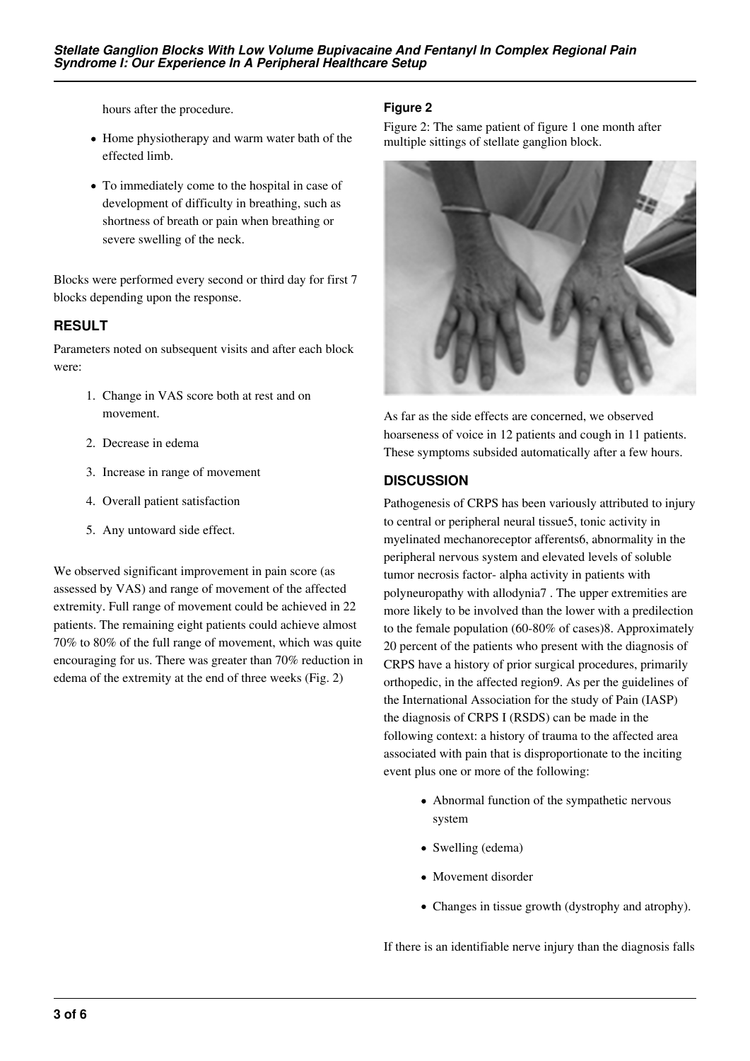hours after the procedure.

- Home physiotherapy and warm water bath of the effected limb.
- To immediately come to the hospital in case of development of difficulty in breathing, such as shortness of breath or pain when breathing or severe swelling of the neck.

Blocks were performed every second or third day for first 7 blocks depending upon the response.

## **RESULT**

Parameters noted on subsequent visits and after each block were:

- 1. Change in VAS score both at rest and on movement.
- 2. Decrease in edema
- 3. Increase in range of movement
- 4. Overall patient satisfaction
- 5. Any untoward side effect.

We observed significant improvement in pain score (as assessed by VAS) and range of movement of the affected extremity. Full range of movement could be achieved in 22 patients. The remaining eight patients could achieve almost 70% to 80% of the full range of movement, which was quite encouraging for us. There was greater than 70% reduction in edema of the extremity at the end of three weeks (Fig. 2)

## **Figure 2**

Figure 2: The same patient of figure 1 one month after multiple sittings of stellate ganglion block.



As far as the side effects are concerned, we observed hoarseness of voice in 12 patients and cough in 11 patients. These symptoms subsided automatically after a few hours.

## **DISCUSSION**

Pathogenesis of CRPS has been variously attributed to injury to central or peripheral neural tissue5, tonic activity in myelinated mechanoreceptor afferents6, abnormality in the peripheral nervous system and elevated levels of soluble tumor necrosis factor- alpha activity in patients with polyneuropathy with allodynia7 . The upper extremities are more likely to be involved than the lower with a predilection to the female population (60-80% of cases)8. Approximately 20 percent of the patients who present with the diagnosis of CRPS have a history of prior surgical procedures, primarily orthopedic, in the affected region9. As per the guidelines of the International Association for the study of Pain (IASP) the diagnosis of CRPS I (RSDS) can be made in the following context: a history of trauma to the affected area associated with pain that is disproportionate to the inciting event plus one or more of the following:

- Abnormal function of the sympathetic nervous system
- Swelling (edema)
- Movement disorder
- Changes in tissue growth (dystrophy and atrophy).

If there is an identifiable nerve injury than the diagnosis falls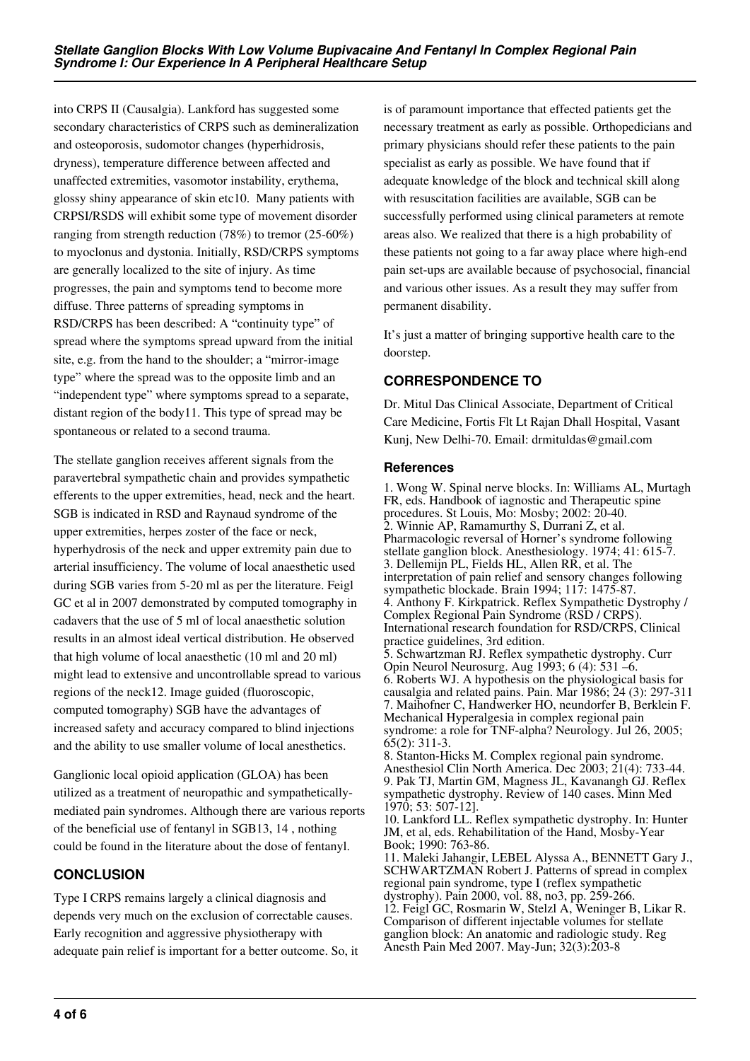into CRPS II (Causalgia). Lankford has suggested some secondary characteristics of CRPS such as demineralization and osteoporosis, sudomotor changes (hyperhidrosis, dryness), temperature difference between affected and unaffected extremities, vasomotor instability, erythema, glossy shiny appearance of skin etc10. Many patients with CRPSI/RSDS will exhibit some type of movement disorder ranging from strength reduction (78%) to tremor (25-60%) to myoclonus and dystonia. Initially, RSD/CRPS symptoms are generally localized to the site of injury. As time progresses, the pain and symptoms tend to become more diffuse. Three patterns of spreading symptoms in RSD/CRPS has been described: A "continuity type" of spread where the symptoms spread upward from the initial site, e.g. from the hand to the shoulder; a "mirror-image type" where the spread was to the opposite limb and an "independent type" where symptoms spread to a separate, distant region of the body11. This type of spread may be spontaneous or related to a second trauma.

The stellate ganglion receives afferent signals from the paravertebral sympathetic chain and provides sympathetic efferents to the upper extremities, head, neck and the heart. SGB is indicated in RSD and Raynaud syndrome of the upper extremities, herpes zoster of the face or neck, hyperhydrosis of the neck and upper extremity pain due to arterial insufficiency. The volume of local anaesthetic used during SGB varies from 5-20 ml as per the literature. Feigl GC et al in 2007 demonstrated by computed tomography in cadavers that the use of 5 ml of local anaesthetic solution results in an almost ideal vertical distribution. He observed that high volume of local anaesthetic (10 ml and 20 ml) might lead to extensive and uncontrollable spread to various regions of the neck12. Image guided (fluoroscopic, computed tomography) SGB have the advantages of increased safety and accuracy compared to blind injections and the ability to use smaller volume of local anesthetics.

Ganglionic local opioid application (GLOA) has been utilized as a treatment of neuropathic and sympatheticallymediated pain syndromes. Although there are various reports of the beneficial use of fentanyl in SGB13, 14 , nothing could be found in the literature about the dose of fentanyl.

# **CONCLUSION**

Type I CRPS remains largely a clinical diagnosis and depends very much on the exclusion of correctable causes. Early recognition and aggressive physiotherapy with adequate pain relief is important for a better outcome. So, it is of paramount importance that effected patients get the necessary treatment as early as possible. Orthopedicians and primary physicians should refer these patients to the pain specialist as early as possible. We have found that if adequate knowledge of the block and technical skill along with resuscitation facilities are available, SGB can be successfully performed using clinical parameters at remote areas also. We realized that there is a high probability of these patients not going to a far away place where high-end pain set-ups are available because of psychosocial, financial and various other issues. As a result they may suffer from permanent disability.

It's just a matter of bringing supportive health care to the doorstep.

## **CORRESPONDENCE TO**

Dr. Mitul Das Clinical Associate, Department of Critical Care Medicine, Fortis Flt Lt Rajan Dhall Hospital, Vasant Kunj, New Delhi-70. Email: drmituldas@gmail.com

#### **References**

1. Wong W. Spinal nerve blocks. In: Williams AL, Murtagh FR, eds. Handbook of iagnostic and Therapeutic spine procedures. St Louis, Mo: Mosby; 2002: 20-40. 2. Winnie AP, Ramamurthy S, Durrani Z, et al. Pharmacologic reversal of Horner's syndrome following stellate ganglion block. Anesthesiology. 1974; 41: 615-7. 3. Dellemijn PL, Fields HL, Allen RR, et al. The interpretation of pain relief and sensory changes following sympathetic blockade. Brain 1994; 117: 1475-87. 4. Anthony F. Kirkpatrick. Reflex Sympathetic Dystrophy / Complex Regional Pain Syndrome (RSD / CRPS). International research foundation for RSD/CRPS, Clinical practice guidelines, 3rd edition. 5. Schwartzman RJ. Reflex sympathetic dystrophy. Curr Opin Neurol Neurosurg. Aug 1993; 6 (4): 531 –6. 6. Roberts WJ. A hypothesis on the physiological basis for causalgia and related pains. Pain. Mar 1986; 24 (3): 297-311 7. Maihofner C, Handwerker HO, neundorfer B, Berklein F. Mechanical Hyperalgesia in complex regional pain syndrome: a role for TNF-alpha? Neurology. Jul 26, 2005; 65(2): 311-3. 8. Stanton-Hicks M. Complex regional pain syndrome. Anesthesiol Clin North America. Dec 2003; 21(4): 733-44. 9. Pak TJ, Martin GM, Magness JL, Kavanangh GJ. Reflex sympathetic dystrophy. Review of 140 cases. Minn Med 1970; 53: 507-12]. 10. Lankford LL. Reflex sympathetic dystrophy. In: Hunter JM, et al, eds. Rehabilitation of the Hand, Mosby-Year

Book; 1990: 763-86. 11. Maleki Jahangir, LEBEL Alyssa A., BENNETT Gary J., SCHWARTZMAN Robert J. Patterns of spread in complex regional pain syndrome, type I (reflex sympathetic dystrophy). Pain 2000, vol. 88, no3, pp. 259-266. 12. Feigl GC, Rosmarin W, Stelzl A, Weninger B, Likar R. Comparison of different injectable volumes for stellate ganglion block: An anatomic and radiologic study. Reg Anesth Pain Med 2007. May-Jun; 32(3):203-8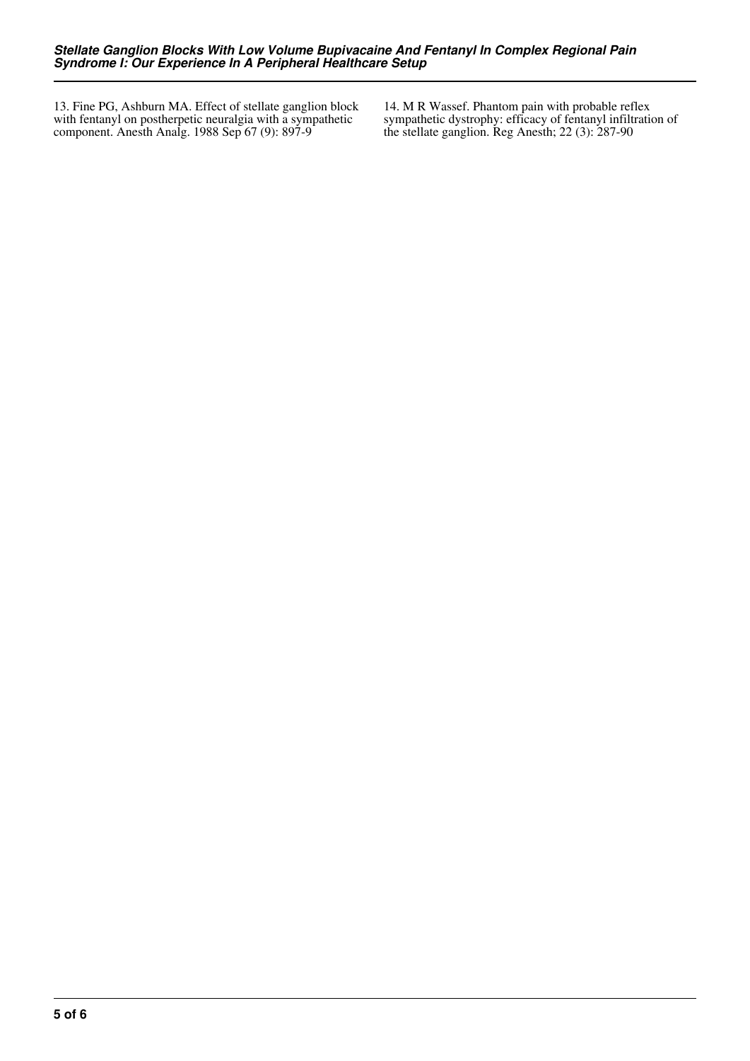13. Fine PG, Ashburn MA. Effect of stellate ganglion block with fentanyl on postherpetic neuralgia with a sympathetic component. Anesth Analg. 1988 Sep 67 (9): 897-9

14. M R Wassef. Phantom pain with probable reflex sympathetic dystrophy: efficacy of fentanyl infiltration of the stellate ganglion. Reg Anesth; 22 (3): 287-90